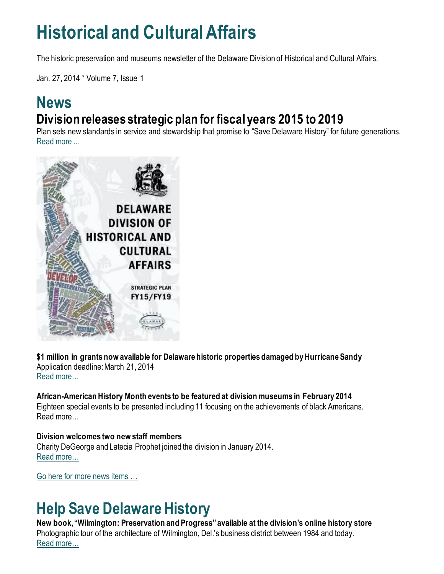## **Historical and Cultural Affairs**

The historic preservation and museums newsletter of the Delaware Division of Historical and Cultural Affairs.

Jan. 27, 2014 \* Volume 7, Issue 1

### **News Division releases strategic plan for fiscal years 2015 to 2019**

Plan sets new standards in service and stewardship that promise to "Save Delaware History" for future generations. [Read more ...](https://history.delaware.gov/2014/01/27/division-releases-strategic-plan-for-fiscal-years-2015-to-2019/)



**\$1 million in grants now available for Delaware historic properties damaged by Hurricane Sandy** Application deadline: March 21, 2014 [Read more…](https://history.delaware.gov/2014/01/28/1-million-in-grants-now-available-for-delaware-historic-properties-damaged-by-hurricane-sandy/)

**African-American History Month events to be featured at division museums in February 2014** Eighteen special events to be presented including 11 focusing on the achievements of black Americans. Read more…

## **Division welcomes two new staff members**

Charity DeGeorge and Latecia Prophet joined the division in January 2014. [Read more…](https://history.delaware.gov/2014/01/24/division-welcomes-two-new-staff-members/)

[Go here for more news items …](http://history.blogs.delaware.gov/)

## **Help Save Delaware History**

**New book, "Wilmington: Preservation and Progress" available at the division's online history store** Photographic tour of the architecture of Wilmington, Del.'s business district between 1984 and today. [Read more…](https://history.delaware.gov/2014/01/24/new-book-wilmington-preservation-and-progress-available-at-the-divisions-online-history-store/)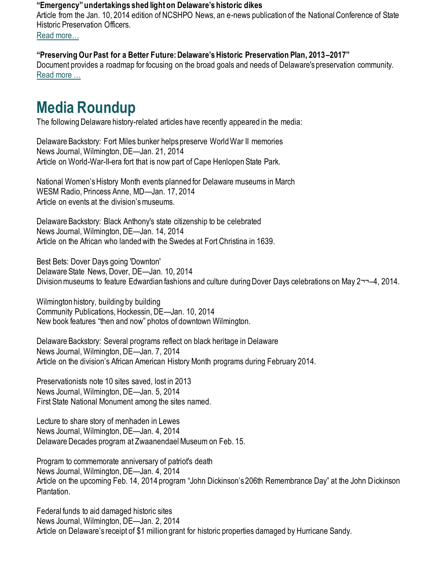#### **"Emergency" undertakings shed light on Delaware's historic dikes**

Article from the Jan. 10, 2014 edition of NCSHPO News, an e-news publication of the National Conference of State Historic Preservation Officers.

Read [more…](https://history.delaware.gov/2014/01/24/emergency-undertakings-shed-light-on-delawares-historic-dikes/)

#### **"Preserving Our Past for a Better Future: Delaware's Historic Preservation Plan, 2013–2017"**

Document provides a roadmap for focusing on the broad goals and needs of Delaware's preservation community. [Read more …](https://history.delaware.gov/wp-content/uploads/sites/179/2019/02/Preservation-Plan-2013-2017.pdf)

## **Media Roundup**

The following Delaware history-related articles have recently appeared in the media:

Delaware Backstory: Fort Miles bunker helps preserve World War II memories News Journal, Wilmington, DE—Jan. 21, 2014 Article on World-War-II-era fort that is now part of Cape Henlopen State Park.

National Women's History Month events planned for Delaware museums in March WESM Radio, Princess Anne, MD—Jan. 17, 2014 Article on events at the division's museums.

Delaware Backstory: Black Anthony's state citizenship to be celebrated News Journal, Wilmington, DE—Jan. 14, 2014 Article on the African who landed with the Swedes at Fort Christina in 1639.

Best Bets: Dover Days going 'Downton' Delaware State News, Dover, DE—Jan. 10, 2014 Division museums to feature Edwardian fashions and culture during Dover Days celebrations on May 2¬¬–4, 2014.

Wilmington history, building by building Community Publications, Hockessin, DE—Jan. 10, 2014 New book features "then and now" photos of downtown Wilmington.

Delaware Backstory: Several programs reflect on black heritage in Delaware News Journal, Wilmington, DE—Jan. 7, 2014 Article on the division's African American History Month programs during February 2014.

Preservationists note 10 sites saved, lost in 2013 News Journal, Wilmington, DE—Jan. 5, 2014 First State National Monument among the sites named.

Lecture to share story of menhaden in Lewes News Journal, Wilmington, DE—Jan. 4, 2014 Delaware Decades program at Zwaanendael Museum on Feb. 15.

Program to commemorate anniversary of patriot's death News Journal, Wilmington, DE—Jan. 4, 2014 Article on the upcoming Feb. 14, 2014 program "John Dickinson's 206th Remembrance Day" at the John Dickinson Plantation.

Federal funds to aid damaged historic sites News Journal, Wilmington, DE—Jan. 2, 2014 Article on Delaware's receipt of \$1 million grant for historic properties damaged by Hurricane Sandy.